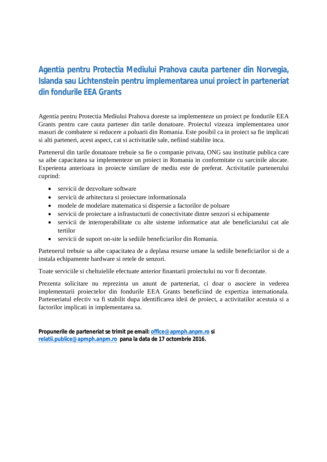## **Agentia pentru Protectia Mediului Prahova cauta partener din Norvegia, Islanda sau Lichtenstein pentru implementarea unui proiect in parteneriat din fondurile EEA Grants**

Agentia pentru Protectia Mediului Prahova doreste sa implementeze un proiect pe fondurile EEA Grants pentru care cauta partener din tarile donatoare. Proiectul vizeaza implementarea unor masuri de combatere si reducere a poluarii din Romania. Este posibil ca in proiect sa fie implicati si alti parteneri, acest aspect, cat si activitatile sale, nefiind stabilite inca.

Partenerul din tarile donatoare trebuie sa fie o companie privata, ONG sau institutie publica care sa aibe capacitatea sa implementeze un proiect in Romania in conformitate cu sarcinile alocate. Experienta anterioara in proiecte similare de mediu este de preferat. Activitatile partenerului cuprind:

- servicii de dezvoltare software
- servicii de arhitectura si proiectare informationala
- modele de modelare matematica si dispersie a factorilor de poluare
- servicii de proiectare a infrastucturii de conectivitate dintre senzori si echipamente
- servicii de interoperabilitate cu alte sisteme informatice atat ale beneficiarului cat ale tertilor
- servicii de suport on-site la sediile beneficiarilor din Romania.

Partenerul trebuie sa aibe capacitatea de a deplasa resurse umane la sediile beneficiarilor si de a instala echipamente hardware si retele de senzori.

Toate serviciile si cheltuielile efectuate anterior finantarii proiectului nu vor fi decontate.

Prezenta solicitare nu reprezinta un anunt de parteneriat, ci doar o asociere in vederea implementarii proiectelor din fondurile EEA Grants beneficiind de expertiza internationala. Parteneriatul efectiv va fi stabilit dupa identificarea ideii de proiect, a activitatilor acestuia si a factorilor implicati in implementarea sa.

**Propunerile de parteneriat se trimit pe email: office@apmph.anpm.ro si relatii.publice@apmph.anpm.ro pana la data de 17 octombrie 2016.**